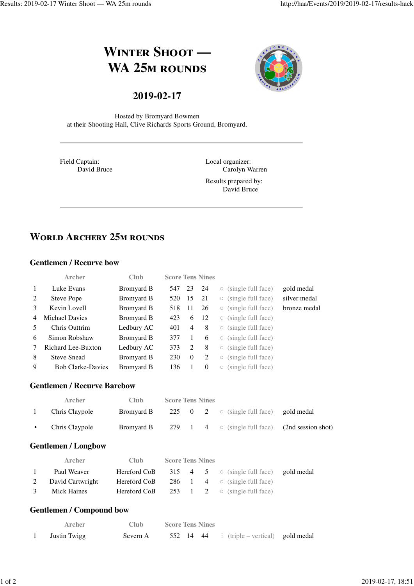# **WINTER SHOOT** — **WA 25M ROUNDS**



## **2019-02-17**

Hosted by Bromyard Bowmen at their Shooting Hall, Clive Richards Sports Ground, Bromyard.

Field Captain: David Bruce Local organizer: Carolyn Warren

Results prepared by: David Bruce

# **WORLD ARCHERY 25M ROUNDS**

#### **Gentlemen / Recurve bow**

|                | <b>Archer</b>            | Club       | <b>Score Tens Nines</b> |               |          |            |                            |              |
|----------------|--------------------------|------------|-------------------------|---------------|----------|------------|----------------------------|--------------|
| $\mathbf{1}$   | Luke Evans               | Bromyard B | 547                     | 23            | - 24     |            | $\circ$ (single full face) | gold medal   |
| 2              | Steve Pope               | Bromyard B | 520                     | 15            | 21       |            | $\circ$ (single full face) | silver medal |
| $\mathcal{E}$  | Kevin Lovell             | Bromyard B | 518                     | 11            | 26       |            | $\circ$ (single full face) | bronze medal |
| $\overline{4}$ | <b>Michael Davies</b>    | Bromyard B | 423                     | 6             | 12       |            | $\circ$ (single full face) |              |
| 5              | Chris Outtrim            | Ledbury AC | 401                     | 4             | 8        | $\bigcirc$ | (single full face)         |              |
| 6              | Simon Robshaw            | Bromyard B | 377                     |               | 6        | $\bigcirc$ | (single full face)         |              |
| 7              | Richard Lee-Buxton       | Ledbury AC | 373                     | $\mathcal{L}$ | 8        | $\bigcirc$ | (single full face)         |              |
| 8              | <b>Steve Snead</b>       | Bromyard B | 230                     | $\theta$      | 2        | $\bigcirc$ | (single full face)         |              |
| 9              | <b>Bob Clarke-Davies</b> | Bromyard B | 136                     |               | $\Omega$ | $\bigcirc$ | (single full face)         |              |

#### **Gentlemen / Recurve Barebow**

| <b>Archer</b>  | Club.      | <b>Score Tens Nines</b> |  |                                                       |  |
|----------------|------------|-------------------------|--|-------------------------------------------------------|--|
| Chris Claypole | Bromyard B |                         |  | 225 $\theta$ 2 $\circ$ (single full face) gold medal  |  |
| Chris Claypole | Bromvard B |                         |  | 279 1 4 $\circ$ (single full face) (2nd session shot) |  |

#### **Gentlemen / Longbow**

|                | <b>Archer</b>      | Club -       | <b>Score Tens Nines</b> |  |                                                                   |  |
|----------------|--------------------|--------------|-------------------------|--|-------------------------------------------------------------------|--|
| $\overline{1}$ | Paul Weaver        |              |                         |  | <b>Hereford CoB</b> 315 4 5 $\circ$ (single full face) gold medal |  |
|                | 2 David Cartwright | Hereford CoB |                         |  | 286 1 4 $\circ$ (single full face)                                |  |
| $\mathcal{E}$  | Mick Haines        |              |                         |  | <b>Hereford CoB</b> 253 1 2 $\circ$ (single full face)            |  |

#### **Gentlemen / Compound bow**

| Archer       | Club.    | <b>Score Tens Nines</b>                    |  |
|--------------|----------|--------------------------------------------|--|
| Justin Twigg | Severn A | 552 14 44 : (triple – vertical) gold medal |  |